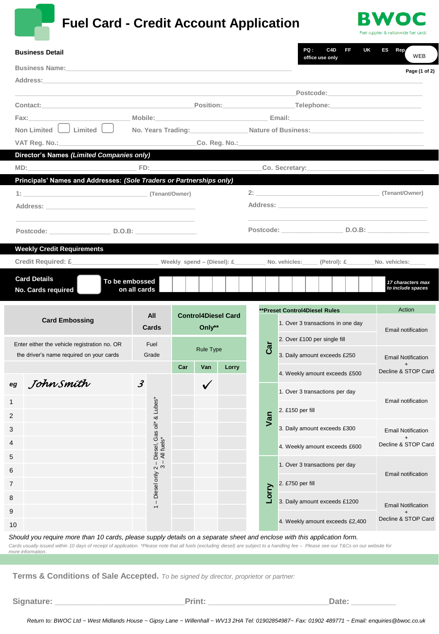

# **Fuel Card - Credit Account Application**



| <b>Business Name:</b> And the state of the state of the state of the state of the state of the state of the state of the state of the state of the state of the state of the state of the state of the state of the state of the st<br>Page (1 of 2)<br>_Position:______________________________Telephone:______________________________<br>Contact: Contact:<br>Fax: and the state of the state of the state of the state of the state of the state of the state of the state o<br>Non Limited U Limited U<br>No. Years Trading: Nature of Business: Nature of Business:<br>Director's Names (Limited Companies only)<br>Co. Secretary: <b>Co.</b> Secretary:<br>FD:<br>MD:<br>Principals' Names and Addresses: (Sole Traders or Partnerships only)<br>Address: Andreas Address Address Address Address Address Address Address Address Address Address Address Address Address Address Address Address Address Address Address Address Address Address Address Address Address Addre<br>Postcode: ___________________________________D.O.B: ____________________________<br>Postcode: __________________________________D.O.B: _____________________________<br><b>Weekly Credit Requirements</b><br>Credit Required: £ Weekly spend – (Diesel): £ No. vehicles: (Petrol): £ [Petrol): 2<br>No. vehicles:<br><b>Card Details</b><br>To be embossed<br>17 characters max<br>to include spaces<br>on all cards<br>No. Cards required<br>Action |
|------------------------------------------------------------------------------------------------------------------------------------------------------------------------------------------------------------------------------------------------------------------------------------------------------------------------------------------------------------------------------------------------------------------------------------------------------------------------------------------------------------------------------------------------------------------------------------------------------------------------------------------------------------------------------------------------------------------------------------------------------------------------------------------------------------------------------------------------------------------------------------------------------------------------------------------------------------------------------------------------------------------------------------------------------------------------------------------------------------------------------------------------------------------------------------------------------------------------------------------------------------------------------------------------------------------------------------------------------------------------------------------------------------------------------------------------|
|                                                                                                                                                                                                                                                                                                                                                                                                                                                                                                                                                                                                                                                                                                                                                                                                                                                                                                                                                                                                                                                                                                                                                                                                                                                                                                                                                                                                                                                |
|                                                                                                                                                                                                                                                                                                                                                                                                                                                                                                                                                                                                                                                                                                                                                                                                                                                                                                                                                                                                                                                                                                                                                                                                                                                                                                                                                                                                                                                |
|                                                                                                                                                                                                                                                                                                                                                                                                                                                                                                                                                                                                                                                                                                                                                                                                                                                                                                                                                                                                                                                                                                                                                                                                                                                                                                                                                                                                                                                |
|                                                                                                                                                                                                                                                                                                                                                                                                                                                                                                                                                                                                                                                                                                                                                                                                                                                                                                                                                                                                                                                                                                                                                                                                                                                                                                                                                                                                                                                |
|                                                                                                                                                                                                                                                                                                                                                                                                                                                                                                                                                                                                                                                                                                                                                                                                                                                                                                                                                                                                                                                                                                                                                                                                                                                                                                                                                                                                                                                |
|                                                                                                                                                                                                                                                                                                                                                                                                                                                                                                                                                                                                                                                                                                                                                                                                                                                                                                                                                                                                                                                                                                                                                                                                                                                                                                                                                                                                                                                |
|                                                                                                                                                                                                                                                                                                                                                                                                                                                                                                                                                                                                                                                                                                                                                                                                                                                                                                                                                                                                                                                                                                                                                                                                                                                                                                                                                                                                                                                |
|                                                                                                                                                                                                                                                                                                                                                                                                                                                                                                                                                                                                                                                                                                                                                                                                                                                                                                                                                                                                                                                                                                                                                                                                                                                                                                                                                                                                                                                |
|                                                                                                                                                                                                                                                                                                                                                                                                                                                                                                                                                                                                                                                                                                                                                                                                                                                                                                                                                                                                                                                                                                                                                                                                                                                                                                                                                                                                                                                |
|                                                                                                                                                                                                                                                                                                                                                                                                                                                                                                                                                                                                                                                                                                                                                                                                                                                                                                                                                                                                                                                                                                                                                                                                                                                                                                                                                                                                                                                |
|                                                                                                                                                                                                                                                                                                                                                                                                                                                                                                                                                                                                                                                                                                                                                                                                                                                                                                                                                                                                                                                                                                                                                                                                                                                                                                                                                                                                                                                |
|                                                                                                                                                                                                                                                                                                                                                                                                                                                                                                                                                                                                                                                                                                                                                                                                                                                                                                                                                                                                                                                                                                                                                                                                                                                                                                                                                                                                                                                |
|                                                                                                                                                                                                                                                                                                                                                                                                                                                                                                                                                                                                                                                                                                                                                                                                                                                                                                                                                                                                                                                                                                                                                                                                                                                                                                                                                                                                                                                |
|                                                                                                                                                                                                                                                                                                                                                                                                                                                                                                                                                                                                                                                                                                                                                                                                                                                                                                                                                                                                                                                                                                                                                                                                                                                                                                                                                                                                                                                |
|                                                                                                                                                                                                                                                                                                                                                                                                                                                                                                                                                                                                                                                                                                                                                                                                                                                                                                                                                                                                                                                                                                                                                                                                                                                                                                                                                                                                                                                |
|                                                                                                                                                                                                                                                                                                                                                                                                                                                                                                                                                                                                                                                                                                                                                                                                                                                                                                                                                                                                                                                                                                                                                                                                                                                                                                                                                                                                                                                |
|                                                                                                                                                                                                                                                                                                                                                                                                                                                                                                                                                                                                                                                                                                                                                                                                                                                                                                                                                                                                                                                                                                                                                                                                                                                                                                                                                                                                                                                |
|                                                                                                                                                                                                                                                                                                                                                                                                                                                                                                                                                                                                                                                                                                                                                                                                                                                                                                                                                                                                                                                                                                                                                                                                                                                                                                                                                                                                                                                |
| <b>**Preset Control4Diesel Rules</b>                                                                                                                                                                                                                                                                                                                                                                                                                                                                                                                                                                                                                                                                                                                                                                                                                                                                                                                                                                                                                                                                                                                                                                                                                                                                                                                                                                                                           |
| All<br><b>Control4Diesel Card</b><br><b>Card Embossing</b><br>1. Over 3 transactions in one day                                                                                                                                                                                                                                                                                                                                                                                                                                                                                                                                                                                                                                                                                                                                                                                                                                                                                                                                                                                                                                                                                                                                                                                                                                                                                                                                                |
| Only**<br>Cards<br>Email notification<br>2. Over £100 per single fill                                                                                                                                                                                                                                                                                                                                                                                                                                                                                                                                                                                                                                                                                                                                                                                                                                                                                                                                                                                                                                                                                                                                                                                                                                                                                                                                                                          |
| Enter either the vehicle registration no. OR<br>Fuel<br>Car<br><b>Rule Type</b>                                                                                                                                                                                                                                                                                                                                                                                                                                                                                                                                                                                                                                                                                                                                                                                                                                                                                                                                                                                                                                                                                                                                                                                                                                                                                                                                                                |
| the driver's name required on your cards<br>Grade<br>3. Daily amount exceeds £250<br><b>Email Notification</b><br>$\ddot{}$                                                                                                                                                                                                                                                                                                                                                                                                                                                                                                                                                                                                                                                                                                                                                                                                                                                                                                                                                                                                                                                                                                                                                                                                                                                                                                                    |
| Car<br>Van<br>Lorry<br>Decline & STOP Card<br>4. Weekly amount exceeds £500                                                                                                                                                                                                                                                                                                                                                                                                                                                                                                                                                                                                                                                                                                                                                                                                                                                                                                                                                                                                                                                                                                                                                                                                                                                                                                                                                                    |
| eg John Smíth<br>$\mathcal{J}$<br>✓<br>1. Over 3 transactions per day                                                                                                                                                                                                                                                                                                                                                                                                                                                                                                                                                                                                                                                                                                                                                                                                                                                                                                                                                                                                                                                                                                                                                                                                                                                                                                                                                                          |
| bes <sup>*</sup><br>Email notification<br>1                                                                                                                                                                                                                                                                                                                                                                                                                                                                                                                                                                                                                                                                                                                                                                                                                                                                                                                                                                                                                                                                                                                                                                                                                                                                                                                                                                                                    |
| 2. £150 per fill<br>ᅼ<br>2                                                                                                                                                                                                                                                                                                                                                                                                                                                                                                                                                                                                                                                                                                                                                                                                                                                                                                                                                                                                                                                                                                                                                                                                                                                                                                                                                                                                                     |
| Van<br>3. Daily amount exceeds £300<br>3<br><b>Email Notification</b>                                                                                                                                                                                                                                                                                                                                                                                                                                                                                                                                                                                                                                                                                                                                                                                                                                                                                                                                                                                                                                                                                                                                                                                                                                                                                                                                                                          |
| $\ddot{}$<br>4                                                                                                                                                                                                                                                                                                                                                                                                                                                                                                                                                                                                                                                                                                                                                                                                                                                                                                                                                                                                                                                                                                                                                                                                                                                                                                                                                                                                                                 |
| Decline & STOP Card<br>4. Weekly amount exceeds £600<br>5                                                                                                                                                                                                                                                                                                                                                                                                                                                                                                                                                                                                                                                                                                                                                                                                                                                                                                                                                                                                                                                                                                                                                                                                                                                                                                                                                                                      |
| - Diesel only 2 - Diesel, Gas oil* &<br>3 - All fuels*<br>1. Over 3 transactions per day                                                                                                                                                                                                                                                                                                                                                                                                                                                                                                                                                                                                                                                                                                                                                                                                                                                                                                                                                                                                                                                                                                                                                                                                                                                                                                                                                       |
| 6<br>Email notification<br>2. £750 per fill                                                                                                                                                                                                                                                                                                                                                                                                                                                                                                                                                                                                                                                                                                                                                                                                                                                                                                                                                                                                                                                                                                                                                                                                                                                                                                                                                                                                    |
| 7<br>Lorry                                                                                                                                                                                                                                                                                                                                                                                                                                                                                                                                                                                                                                                                                                                                                                                                                                                                                                                                                                                                                                                                                                                                                                                                                                                                                                                                                                                                                                     |
| 8<br>3. Daily amount exceeds £1200<br><b>Email Notification</b><br>$\overline{\phantom{0}}$                                                                                                                                                                                                                                                                                                                                                                                                                                                                                                                                                                                                                                                                                                                                                                                                                                                                                                                                                                                                                                                                                                                                                                                                                                                                                                                                                    |
| 9<br>$\ddot{}$<br>Decline & STOP Card<br>4. Weekly amount exceeds £2,400<br>10                                                                                                                                                                                                                                                                                                                                                                                                                                                                                                                                                                                                                                                                                                                                                                                                                                                                                                                                                                                                                                                                                                                                                                                                                                                                                                                                                                 |

*Should you require more than 10 cards, please supply details on a separate sheet and enclose with this application form. Cards usually issued within 10 days of receipt of application. \*Please note that all fuels (excluding diesel) are subject to a handling fee – Please see our T&Cs on our website for more information.*

**Terms & Conditions of Sale Accepted.** *To be signed by director, proprietor or partner:*

**Signature: \_\_\_\_\_\_\_\_\_\_\_\_\_\_\_\_\_\_\_\_\_\_\_\_\_\_\_\_\_Print: \_\_\_\_\_\_\_\_\_\_\_\_\_\_\_\_\_\_\_\_\_\_\_\_\_\_\_Date: \_\_\_\_\_\_\_\_\_\_**

*Return to: BWOC Ltd ~ West Midlands House ~ Gipsy Lane ~ Willenhall ~ WV13 2HA Tel: 01902854987~ Fax: 01902 489771 ~ Email: enquiries@bwoc.co.uk*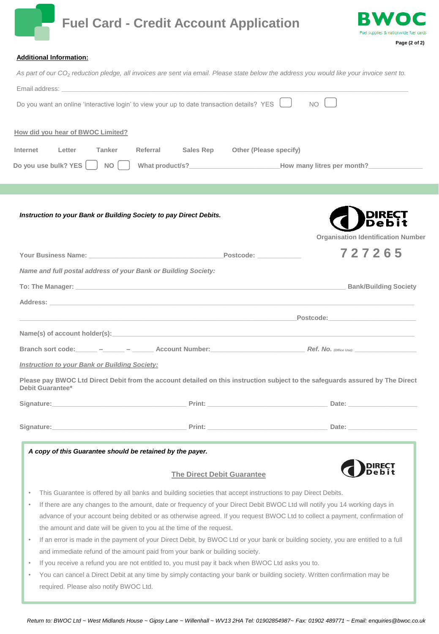